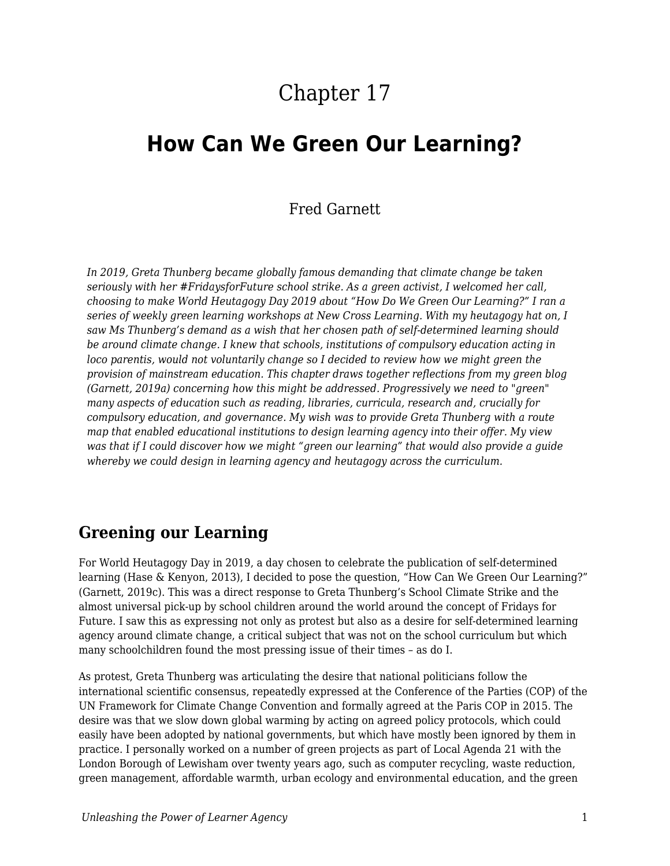# Chapter 17

## **How Can We Green Our Learning?**

#### Fred Garnett

*In 2019, Greta Thunberg became globally famous demanding that climate change be taken seriously with her #FridaysforFuture school strike. As a green activist, I welcomed her call, choosing to make World Heutagogy Day 2019 about "How Do We Green Our Learning?" I ran a series of weekly green learning workshops at New Cross Learning. With my heutagogy hat on, I saw Ms Thunberg's demand as a wish that her chosen path of self-determined learning should be around climate change. I knew that schools, institutions of compulsory education acting in loco parentis, would not voluntarily change so I decided to review how we might green the provision of mainstream education. This chapter draws together reflections from my green blog (Garnett, 2019a) concerning how this might be addressed. Progressively we need to "green" many aspects of education such as reading, libraries, curricula, research and, crucially for compulsory education, and governance. My wish was to provide Greta Thunberg with a route map that enabled educational institutions to design learning agency into their offer. My view was that if I could discover how we might "green our learning" that would also provide a guide whereby we could design in learning agency and heutagogy across the curriculum.*

#### **Greening our Learning**

For World Heutagogy Day in 2019, a day chosen to celebrate the publication of self-determined learning (Hase & Kenyon, 2013), I decided to pose the question, "How Can We Green Our Learning?" (Garnett, 2019c). This was a direct response to Greta Thunberg's School Climate Strike and the almost universal pick-up by school children around the world around the concept of Fridays for Future. I saw this as expressing not only as protest but also as a desire for self-determined learning agency around climate change, a critical subject that was not on the school curriculum but which many schoolchildren found the most pressing issue of their times – as do I.

As protest, Greta Thunberg was articulating the desire that national politicians follow the international scientific consensus, repeatedly expressed at the Conference of the Parties (COP) of the UN Framework for Climate Change Convention and formally agreed at the Paris COP in 2015. The desire was that we slow down global warming by acting on agreed policy protocols, which could easily have been adopted by national governments, but which have mostly been ignored by them in practice. I personally worked on a number of green projects as part of Local Agenda 21 with the London Borough of Lewisham over twenty years ago, such as computer recycling, waste reduction, green management, affordable warmth, urban ecology and environmental education, and the green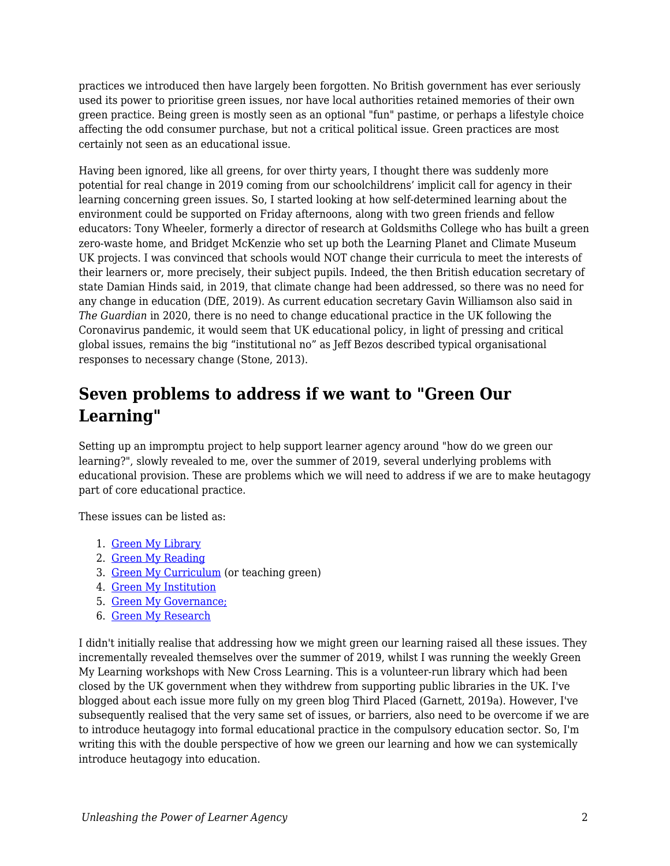practices we introduced then have largely been forgotten. No British government has ever seriously used its power to prioritise green issues, nor have local authorities retained memories of their own green practice. Being green is mostly seen as an optional "fun" pastime, or perhaps a lifestyle choice affecting the odd consumer purchase, but not a critical political issue. Green practices are most certainly not seen as an educational issue.

Having been ignored, like all greens, for over thirty years, I thought there was suddenly more potential for real change in 2019 coming from our schoolchildrens' implicit call for agency in their learning concerning green issues. So, I started looking at how self-determined learning about the environment could be supported on Friday afternoons, along with two green friends and fellow educators: Tony Wheeler, formerly a director of research at Goldsmiths College who has built a green zero-waste home, and Bridget McKenzie who set up both the Learning Planet and Climate Museum UK projects. I was convinced that schools would NOT change their curricula to meet the interests of their learners or, more precisely, their subject pupils. Indeed, the then British education secretary of state Damian Hinds said, in 2019, that climate change had been addressed, so there was no need for any change in education (DfE, 2019). As current education secretary Gavin Williamson also said in *The Guardian* in 2020, there is no need to change educational practice in the UK following the Coronavirus pandemic, it would seem that UK educational policy, in light of pressing and critical global issues, remains the big "institutional no" as Jeff Bezos described typical organisational responses to necessary change (Stone, 2013).

## **Seven problems to address if we want to "Green Our Learning"**

Setting up an impromptu project to help support learner agency around "how do we green our learning?", slowly revealed to me, over the summer of 2019, several underlying problems with educational provision. These are problems which we will need to address if we are to make heutagogy part of core educational practice.

These issues can be listed as:

- 1. [Green My Library](https://thirdplaced.wordpress.com/2019/07/08/green-my-library/)
- 2. [Green My Reading](https://thirdplaced.wordpress.com/2019/07/16/green-my-reading/)
- 3. [Green My Curriculum](https://thirdplaced.wordpress.com/2019/07/03/green-my-learning/) (or teaching green)
- 4. [Green My Institution](https://thirdplaced.wordpress.com/2019/08/28/green-my-institution/)
- 5. [Green My Governance;](https://thirdplaced.wordpress.com/2019/08/28/green-my-institution/)
- 6. [Green My Research](https://heutagogicarchive.wordpress.com/2011/04/14/11-ideas-for-research-social-justice/)

I didn't initially realise that addressing how we might green our learning raised all these issues. They incrementally revealed themselves over the summer of 2019, whilst I was running the weekly Green My Learning workshops with New Cross Learning. This is a volunteer-run library which had been closed by the UK government when they withdrew from supporting public libraries in the UK. I've blogged about each issue more fully on my green blog Third Placed (Garnett, 2019a). However, I've subsequently realised that the very same set of issues, or barriers, also need to be overcome if we are to introduce heutagogy into formal educational practice in the compulsory education sector. So, I'm writing this with the double perspective of how we green our learning and how we can systemically introduce heutagogy into education.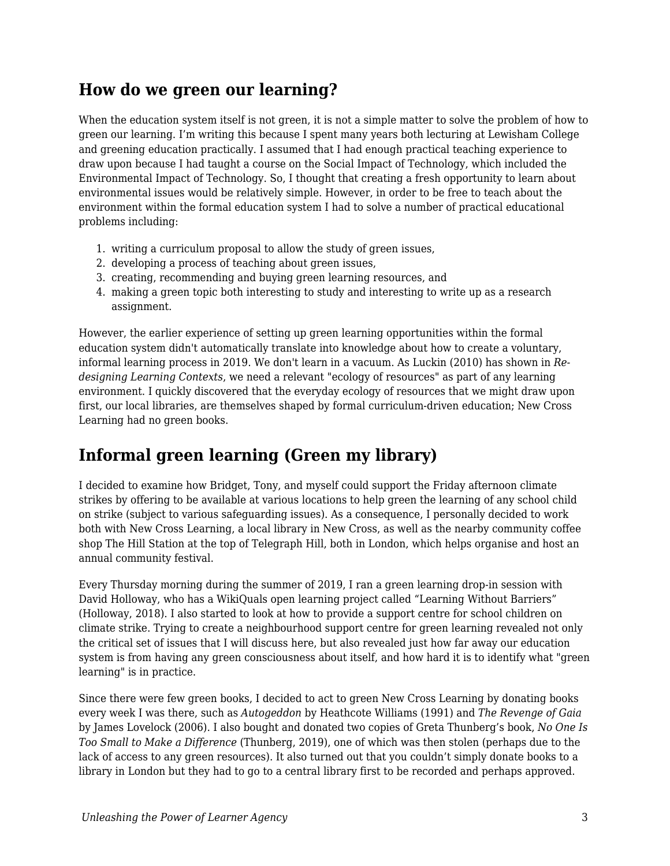## **How do we green our learning?**

When the education system itself is not green, it is not a simple matter to solve the problem of how to green our learning. I'm writing this because I spent many years both lecturing at Lewisham College and greening education practically. I assumed that I had enough practical teaching experience to draw upon because I had taught a course on the Social Impact of Technology, which included the Environmental Impact of Technology. So, I thought that creating a fresh opportunity to learn about environmental issues would be relatively simple. However, in order to be free to teach about the environment within the formal education system I had to solve a number of practical educational problems including:

- 1. writing a curriculum proposal to allow the study of green issues,
- 2. developing a process of teaching about green issues,
- 3. creating, recommending and buying green learning resources, and
- 4. making a green topic both interesting to study and interesting to write up as a research assignment.

However, the earlier experience of setting up green learning opportunities within the formal education system didn't automatically translate into knowledge about how to create a voluntary, informal learning process in 2019. We don't learn in a vacuum. As Luckin (2010) has shown in *Redesigning Learning Contexts*, we need a relevant "ecology of resources" as part of any learning environment. I quickly discovered that the everyday ecology of resources that we might draw upon first, our local libraries, are themselves shaped by formal curriculum-driven education; New Cross Learning had no green books.

## **Informal green learning (Green my library)**

I decided to examine how Bridget, Tony, and myself could support the Friday afternoon climate strikes by offering to be available at various locations to help green the learning of any school child on strike (subject to various safeguarding issues). As a consequence, I personally decided to work both with New Cross Learning, a local library in New Cross, as well as the nearby community coffee shop The Hill Station at the top of Telegraph Hill, both in London, which helps organise and host an annual community festival.

Every Thursday morning during the summer of 2019, I ran a green learning drop-in session with David Holloway, who has a WikiQuals open learning project called "Learning Without Barriers" (Holloway, 2018). I also started to look at how to provide a support centre for school children on climate strike. Trying to create a neighbourhood support centre for green learning revealed not only the critical set of issues that I will discuss here, but also revealed just how far away our education system is from having any green consciousness about itself, and how hard it is to identify what "green learning" is in practice.

Since there were few green books, I decided to act to green New Cross Learning by donating books every week I was there, such as *Autogeddon* by Heathcote Williams (1991) and *The Revenge of Gaia* by James Lovelock (2006). I also bought and donated two copies of Greta Thunberg's book, *No One Is Too Small to Make a Difference* (Thunberg, 2019), one of which was then stolen (perhaps due to the lack of access to any green resources). It also turned out that you couldn't simply donate books to a library in London but they had to go to a central library first to be recorded and perhaps approved.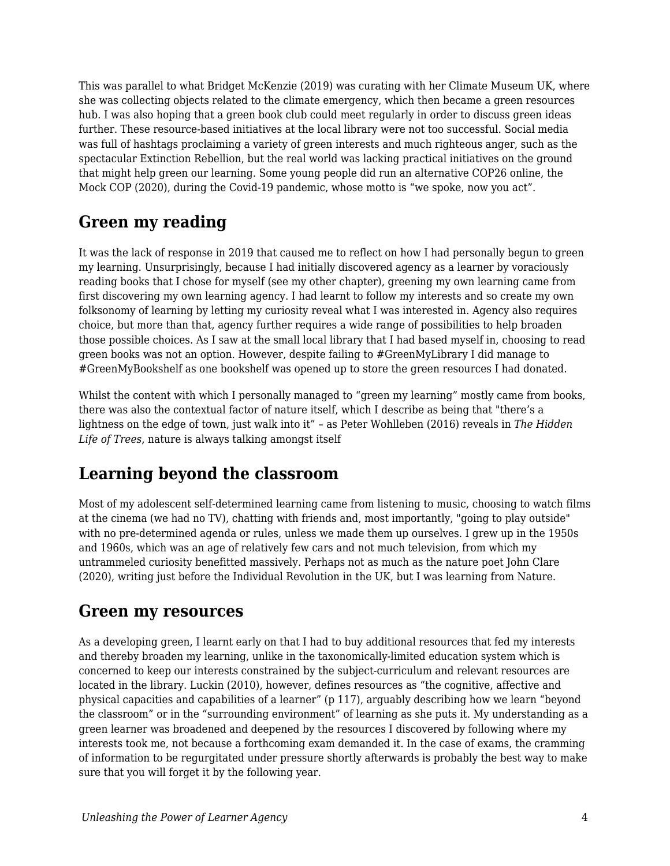This was parallel to what Bridget McKenzie (2019) was curating with her Climate Museum UK, where she was collecting objects related to the climate emergency, which then became a green resources hub. I was also hoping that a green book club could meet regularly in order to discuss green ideas further. These resource-based initiatives at the local library were not too successful. Social media was full of hashtags proclaiming a variety of green interests and much righteous anger, such as the spectacular Extinction Rebellion, but the real world was lacking practical initiatives on the ground that might help green our learning. Some young people did run an alternative COP26 online, the Mock COP (2020), during the Covid-19 pandemic, whose motto is "we spoke, now you act".

## **Green my reading**

It was the lack of response in 2019 that caused me to reflect on how I had personally begun to green my learning. Unsurprisingly, because I had initially discovered agency as a learner by voraciously reading books that I chose for myself (see my other chapter), greening my own learning came from first discovering my own learning agency. I had learnt to follow my interests and so create my own folksonomy of learning by letting my curiosity reveal what I was interested in. Agency also requires choice, but more than that, agency further requires a wide range of possibilities to help broaden those possible choices. As I saw at the small local library that I had based myself in, choosing to read green books was not an option. However, despite failing to #GreenMyLibrary I did manage to #GreenMyBookshelf as one bookshelf was opened up to store the green resources I had donated.

Whilst the content with which I personally managed to "green my learning" mostly came from books, there was also the contextual factor of nature itself, which I describe as being that "there's a lightness on the edge of town, just walk into it" – as Peter Wohlleben (2016) reveals in *The Hidden Life of Trees*, nature is always talking amongst itself

## **Learning beyond the classroom**

Most of my adolescent self-determined learning came from listening to music, choosing to watch films at the cinema (we had no TV), chatting with friends and, most importantly, "going to play outside" with no pre-determined agenda or rules, unless we made them up ourselves. I grew up in the 1950s and 1960s, which was an age of relatively few cars and not much television, from which my untrammeled curiosity benefitted massively. Perhaps not as much as the nature poet John Clare (2020), writing just before the Individual Revolution in the UK, but I was learning from Nature.

#### **Green my resources**

As a developing green, I learnt early on that I had to buy additional resources that fed my interests and thereby broaden my learning, unlike in the taxonomically-limited education system which is concerned to keep our interests constrained by the subject-curriculum and relevant resources are located in the library. Luckin (2010), however, defines resources as "the cognitive, affective and physical capacities and capabilities of a learner" (p 117), arguably describing how we learn "beyond the classroom" or in the "surrounding environment" of learning as she puts it. My understanding as a green learner was broadened and deepened by the resources I discovered by following where my interests took me, not because a forthcoming exam demanded it. In the case of exams, the cramming of information to be regurgitated under pressure shortly afterwards is probably the best way to make sure that you will forget it by the following year.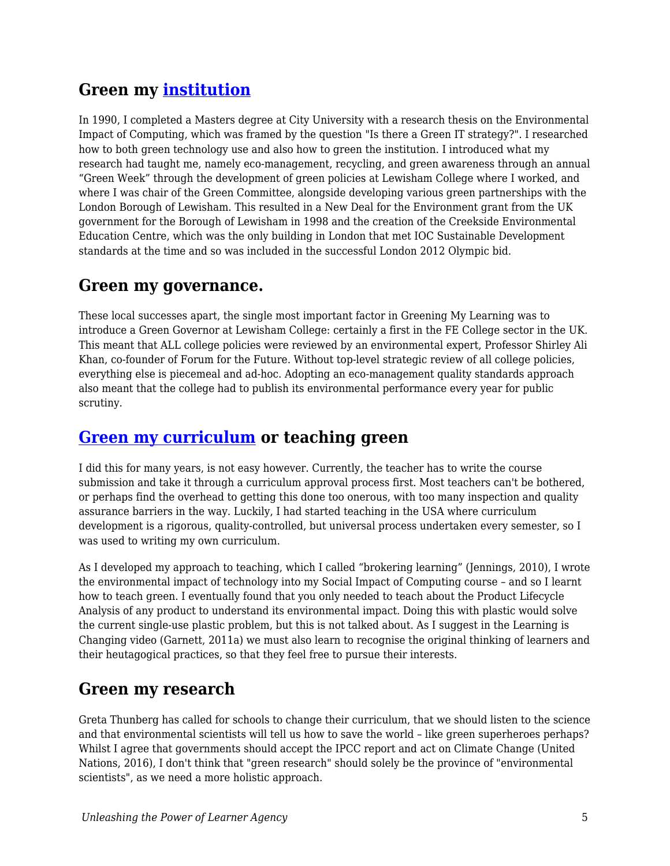## **Green my [institution](https://thirdplaced.wordpress.com/2019/08/28/green-my-institution/)**

In 1990, I completed a Masters degree at City University with a research thesis on the Environmental Impact of Computing, which was framed by the question "Is there a Green IT strategy?". I researched how to both green technology use and also how to green the institution. I introduced what my research had taught me, namely eco-management, recycling, and green awareness through an annual "Green Week" through the development of green policies at Lewisham College where I worked, and where I was chair of the Green Committee, alongside developing various green partnerships with the London Borough of Lewisham. This resulted in a New Deal for the Environment grant from the UK government for the Borough of Lewisham in 1998 and the creation of the Creekside Environmental Education Centre, which was the only building in London that met IOC Sustainable Development standards at the time and so was included in the successful London 2012 Olympic bid.

## **Green my governance.**

These local successes apart, the single most important factor in Greening My Learning was to introduce a Green Governor at Lewisham College: certainly a first in the FE College sector in the UK. This meant that ALL college policies were reviewed by an environmental expert, Professor Shirley Ali Khan, co-founder of Forum for the Future. Without top-level strategic review of all college policies, everything else is piecemeal and ad-hoc. Adopting an eco-management quality standards approach also meant that the college had to publish its environmental performance every year for public scrutiny.

#### **[Green my curriculum](https://thirdplaced.wordpress.com/2019/07/03/green-my-learning/) or teaching green**

I did this for many years, is not easy however. Currently, the teacher has to write the course submission and take it through a curriculum approval process first. Most teachers can't be bothered, or perhaps find the overhead to getting this done too onerous, with too many inspection and quality assurance barriers in the way. Luckily, I had started teaching in the USA where curriculum development is a rigorous, quality-controlled, but universal process undertaken every semester, so I was used to writing my own curriculum.

As I developed my approach to teaching, which I called "brokering learning" (Jennings, 2010), I wrote the environmental impact of technology into my Social Impact of Computing course – and so I learnt how to teach green. I eventually found that you only needed to teach about the Product Lifecycle Analysis of any product to understand its environmental impact. Doing this with plastic would solve the current single-use plastic problem, but this is not talked about. As I suggest in the Learning is Changing video (Garnett, 2011a) we must also learn to recognise the original thinking of learners and their heutagogical practices, so that they feel free to pursue their interests.

### **Green my research**

Greta Thunberg has called for schools to change their curriculum, that we should listen to the science and that environmental scientists will tell us how to save the world – like green superheroes perhaps? Whilst I agree that governments should accept the IPCC report and act on Climate Change (United Nations, 2016), I don't think that "green research" should solely be the province of "environmental scientists", as we need a more holistic approach.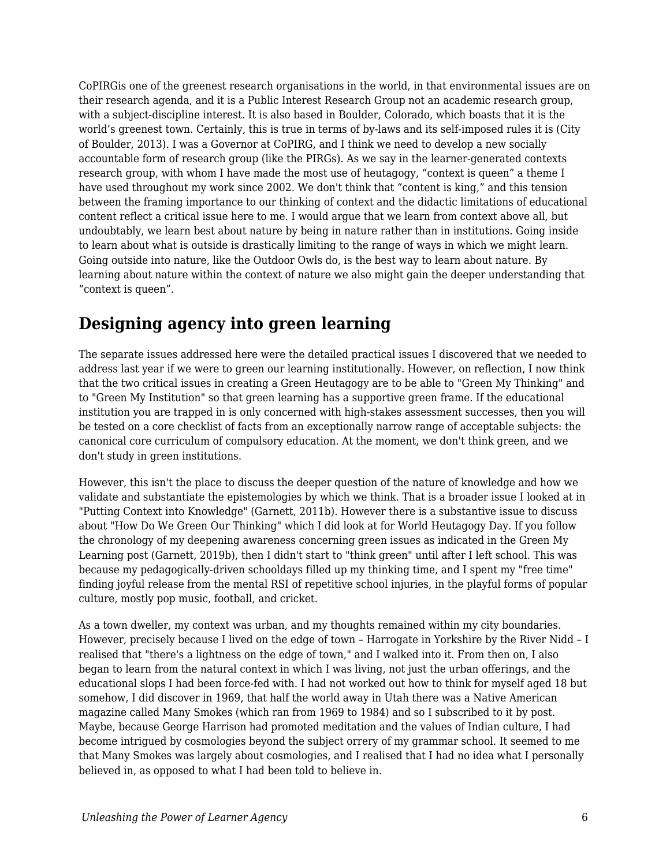CoPIRGis one of the greenest research organisations in the world, in that environmental issues are on their research agenda, and it is a Public Interest Research Group not an academic research group, with a subject-discipline interest. It is also based in Boulder, Colorado, which boasts that it is the world's greenest town. Certainly, this is true in terms of by-laws and its self-imposed rules it is (City of Boulder, 2013). I was a Governor at CoPIRG, and I think we need to develop a new socially accountable form of research group (like the PIRGs). As we say in the learner-generated contexts research group, with whom I have made the most use of heutagogy, "context is queen" a theme I have used throughout my work since 2002. We don't think that "content is king," and this tension between the framing importance to our thinking of context and the didactic limitations of educational content reflect a critical issue here to me. I would argue that we learn from context above all, but undoubtably, we learn best about nature by being in nature rather than in institutions. Going inside to learn about what is outside is drastically limiting to the range of ways in which we might learn. Going outside into nature, like the Outdoor Owls do, is the best way to learn about nature. By learning about nature within the context of nature we also might gain the deeper understanding that "context is queen".

## **Designing agency into green learning**

The separate issues addressed here were the detailed practical issues I discovered that we needed to address last year if we were to green our learning institutionally. However, on reflection, I now think that the two critical issues in creating a Green Heutagogy are to be able to "Green My Thinking" and to "Green My Institution" so that green learning has a supportive green frame. If the educational institution you are trapped in is only concerned with high-stakes assessment successes, then you will be tested on a core checklist of facts from an exceptionally narrow range of acceptable subjects: the canonical core curriculum of compulsory education. At the moment, we don't think green, and we don't study in green institutions.

However, this isn't the place to discuss the deeper question of the nature of knowledge and how we validate and substantiate the epistemologies by which we think. That is a broader issue I looked at in "Putting Context into Knowledge" (Garnett, 2011b). However there is a substantive issue to discuss about "How Do We Green Our Thinking" which I did look at for World Heutagogy Day. If you follow the chronology of my deepening awareness concerning green issues as indicated in the Green My Learning post (Garnett, 2019b), then I didn't start to "think green" until after I left school. This was because my pedagogically-driven schooldays filled up my thinking time, and I spent my "free time" finding joyful release from the mental RSI of repetitive school injuries, in the playful forms of popular culture, mostly pop music, football, and cricket.

As a town dweller, my context was urban, and my thoughts remained within my city boundaries. However, precisely because I lived on the edge of town – Harrogate in Yorkshire by the River Nidd – I realised that "there's a lightness on the edge of town," and I walked into it. From then on, I also began to learn from the natural context in which I was living, not just the urban offerings, and the educational slops I had been force-fed with. I had not worked out how to think for myself aged 18 but somehow, I did discover in 1969, that half the world away in Utah there was a Native American magazine called Many Smokes (which ran from 1969 to 1984) and so I subscribed to it by post. Maybe, because George Harrison had promoted meditation and the values of Indian culture, I had become intrigued by cosmologies beyond the subject orrery of my grammar school. It seemed to me that Many Smokes was largely about cosmologies, and I realised that I had no idea what I personally believed in, as opposed to what I had been told to believe in.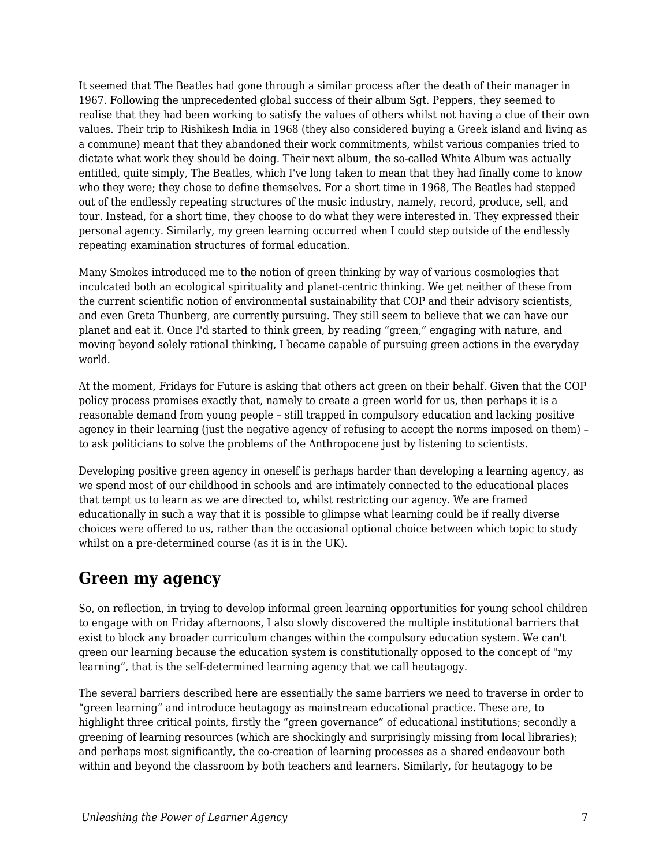It seemed that The Beatles had gone through a similar process after the death of their manager in 1967. Following the unprecedented global success of their album Sgt. Peppers, they seemed to realise that they had been working to satisfy the values of others whilst not having a clue of their own values. Their trip to Rishikesh India in 1968 (they also considered buying a Greek island and living as a commune) meant that they abandoned their work commitments, whilst various companies tried to dictate what work they should be doing. Their next album, the so-called White Album was actually entitled, quite simply, The Beatles, which I've long taken to mean that they had finally come to know who they were; they chose to define themselves. For a short time in 1968, The Beatles had stepped out of the endlessly repeating structures of the music industry, namely, record, produce, sell, and tour. Instead, for a short time, they choose to do what they were interested in. They expressed their personal agency. Similarly, my green learning occurred when I could step outside of the endlessly repeating examination structures of formal education.

Many Smokes introduced me to the notion of green thinking by way of various cosmologies that inculcated both an ecological spirituality and planet-centric thinking. We get neither of these from the current scientific notion of environmental sustainability that COP and their advisory scientists, and even Greta Thunberg, are currently pursuing. They still seem to believe that we can have our planet and eat it. Once I'd started to think green, by reading "green," engaging with nature, and moving beyond solely rational thinking, I became capable of pursuing green actions in the everyday world.

At the moment, Fridays for Future is asking that others act green on their behalf. Given that the COP policy process promises exactly that, namely to create a green world for us, then perhaps it is a reasonable demand from young people – still trapped in compulsory education and lacking positive agency in their learning (just the negative agency of refusing to accept the norms imposed on them) – to ask politicians to solve the problems of the Anthropocene just by listening to scientists.

Developing positive green agency in oneself is perhaps harder than developing a learning agency, as we spend most of our childhood in schools and are intimately connected to the educational places that tempt us to learn as we are directed to, whilst restricting our agency. We are framed educationally in such a way that it is possible to glimpse what learning could be if really diverse choices were offered to us, rather than the occasional optional choice between which topic to study whilst on a pre-determined course (as it is in the UK).

#### **Green my agency**

So, on reflection, in trying to develop informal green learning opportunities for young school children to engage with on Friday afternoons, I also slowly discovered the multiple institutional barriers that exist to block any broader curriculum changes within the compulsory education system. We can't green our learning because the education system is constitutionally opposed to the concept of "my learning", that is the self-determined learning agency that we call heutagogy.

The several barriers described here are essentially the same barriers we need to traverse in order to "green learning" and introduce heutagogy as mainstream educational practice. These are, to highlight three critical points, firstly the "green governance" of educational institutions; secondly a greening of learning resources (which are shockingly and surprisingly missing from local libraries); and perhaps most significantly, the co-creation of learning processes as a shared endeavour both within and beyond the classroom by both teachers and learners. Similarly, for heutagogy to be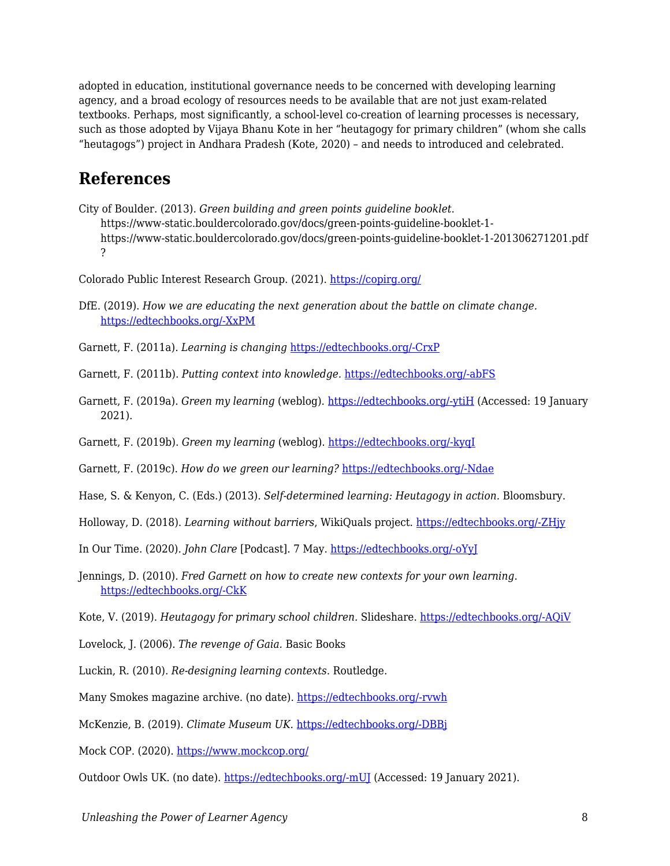adopted in education, institutional governance needs to be concerned with developing learning agency, and a broad ecology of resources needs to be available that are not just exam-related textbooks. Perhaps, most significantly, a school-level co-creation of learning processes is necessary, such as those adopted by Vijaya Bhanu Kote in her "heutagogy for primary children" (whom she calls "heutagogs") project in Andhara Pradesh (Kote, 2020) – and needs to introduced and celebrated.

#### **References**

City of Boulder. (2013). *Green building and green points guideline booklet*. https://www-static.bouldercolorado.gov/docs/green-points-guideline-booklet-1 https://www-static.bouldercolorado.gov/docs/green-points-guideline-booklet-1-201306271201.pdf ?

Colorado Public Interest Research Group. (2021). <https://copirg.org/>

- DfE. (2019). *How we are educating the next generation about the battle on climate change.* [https://edtechbooks.org/-XxPM](https://dfemedia.blog.gov.uk/2019/05/24/how-we-are-educating-the-next-generation-about-the-battle-on-climate-change/)
- Garnett, F. (2011a). *Learning is changing* [https://edtechbooks.org/-CrxP](https://www.youtube.com/watch?v=y9HCK3wKmD0)
- Garnett, F. (2011b). *Putting context into knowledge.* [https://edtechbooks.org/-abFS](https://www2.slideshare.net/fredgarnett/putting-context-into-knowledge)
- Garnett, F. (2019a). *Green my learning* (weblog). [https://edtechbooks.org/-ytiH](https://thirdplaced.wordpress.com/2019/09/19/greenmylearning/) (Accessed: 19 January 2021).
- Garnett, F. (2019b). *Green my learning* (weblog). [https://edtechbooks.org/-kyqI](https://www2.slideshare.net/fredgarnett/green-my-learning)

Garnett, F. (2019c). *How do we green our learning?* [https://edtechbooks.org/-Ndae](https://www.slideshare.net/fredgarnett/how-do-we-green-our-learning)

- Hase, S. & Kenyon, C. (Eds.) (2013). *Self-determined learning: Heutagogy in action.* Bloomsbury.
- Holloway, D. (2018). *Learning without barriers*, WikiQuals project. [https://edtechbooks.org/-ZHjy](https://wikiquals.wordpress.com/learning-without-barriers/)
- In Our Time. (2020). *John Clare* [Podcast]. 7 May. [https://edtechbooks.org/-oYyJ](https://www.bbc.co.uk/programmes/b08cstfr)
- Jennings, D. (2010). *Fred Garnett on how to create new contexts for your own learning*. [https://edtechbooks.org/-CkK](http://alchemi.co.uk/archives/ele/fred_garnett_on.html)
- Kote, V. (2019). *Heutagogy for primary school children.* Slideshare. [https://edtechbooks.org/-AQiV](https://www.slideshare.net/fredgarnett/heutagogy-for-primary-school-children)
- Lovelock, J. (2006). *The revenge of Gaia.* Basic Books
- Luckin, R. (2010). *Re-designing learning contexts*. Routledge.
- Many Smokes magazine archive. (no date). [https://edtechbooks.org/-rvwh](https://chroniclingamerica.loc.gov/lccn/2008233443/)
- McKenzie, B. (2019). *Climate Museum UK.* [https://edtechbooks.org/-DBBj](https://climatemuseumuk.org/who/)

Mock COP. (2020). <https://www.mockcop.org/>

Outdoor Owls UK. (no date). [https://edtechbooks.org/-mUJ](https://outdoorowls.com/educating) (Accessed: 19 January 2021).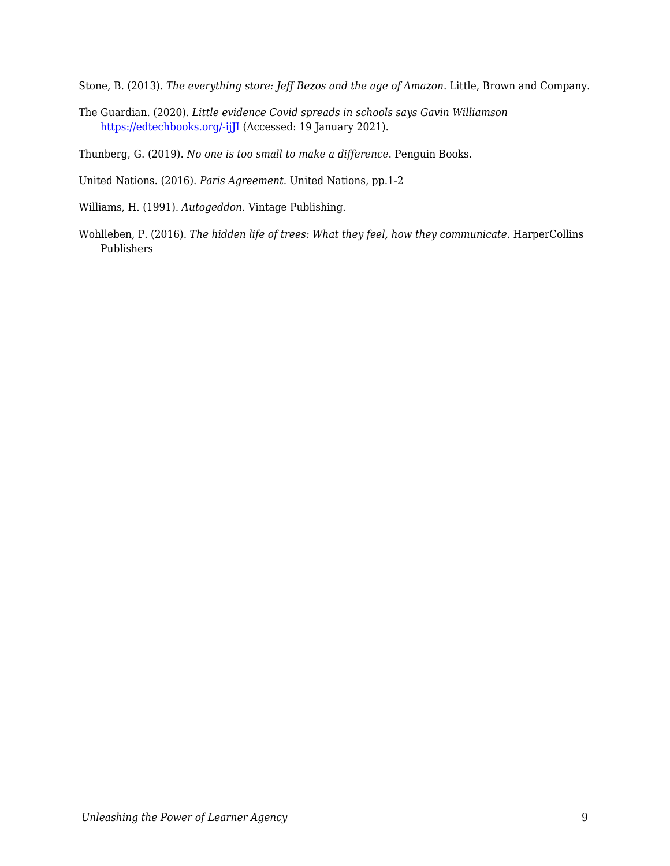Stone, B. (2013). *The everything store: Jeff Bezos and the age of Amazon*. Little, Brown and Company.

The Guardian. (2020). *Little evidence Covid spreads in schools says Gavin Williamson* [https://edtechbooks.org/-ijJI](https://www.theguardian.com/world/2020/aug/10/little-evidence-covid-spreads-in-schools-says-gavin-williamson) (Accessed: 19 January 2021).

Thunberg, G. (2019). *No one is too small to make a difference*. Penguin Books.

United Nations. (2016). *Paris Agreement*. United Nations, pp.1-2

Williams, H. (1991). *Autogeddon*. Vintage Publishing.

Wohlleben, P. (2016). *The hidden life of trees: What they feel, how they communicate.* HarperCollins Publishers